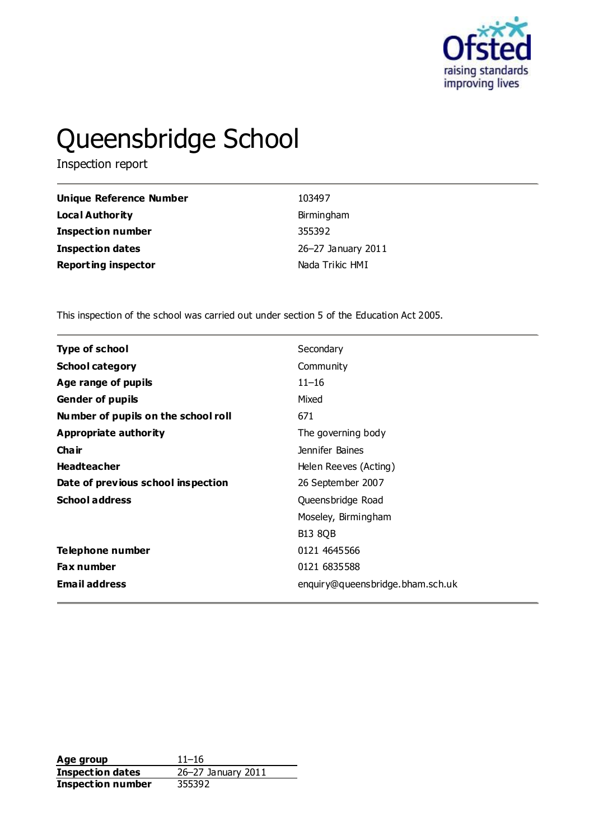

# Queensbridge School

Inspection report

| Unique Reference Number    | 103497             |
|----------------------------|--------------------|
| <b>Local Authority</b>     | Birmingham         |
| <b>Inspection number</b>   | 355392             |
| Inspection dates           | 26-27 January 2011 |
| <b>Reporting inspector</b> | Nada Trikic HMI    |

This inspection of the school was carried out under section 5 of the Education Act 2005.

| Secondary<br><b>Type of school</b><br><b>School category</b><br>Community<br>$11 - 16$<br>Age range of pupils<br><b>Gender of pupils</b><br>Mixed<br>Number of pupils on the school roll<br>671<br>Appropriate authority<br>The governing body<br>Cha ir<br>Jennifer Baines<br><b>Headteacher</b><br>Helen Reeves (Acting)<br>Date of previous school inspection<br>26 September 2007<br><b>School address</b><br>Queensbridge Road<br>Moseley, Birmingham<br><b>B13 8QB</b><br>Telephone number<br>0121 4645566<br>0121 6835588<br><b>Fax number</b><br><b>Email address</b><br>enquiry@queensbridge.bham.sch.uk |  |
|-------------------------------------------------------------------------------------------------------------------------------------------------------------------------------------------------------------------------------------------------------------------------------------------------------------------------------------------------------------------------------------------------------------------------------------------------------------------------------------------------------------------------------------------------------------------------------------------------------------------|--|
|                                                                                                                                                                                                                                                                                                                                                                                                                                                                                                                                                                                                                   |  |
|                                                                                                                                                                                                                                                                                                                                                                                                                                                                                                                                                                                                                   |  |
|                                                                                                                                                                                                                                                                                                                                                                                                                                                                                                                                                                                                                   |  |
|                                                                                                                                                                                                                                                                                                                                                                                                                                                                                                                                                                                                                   |  |
|                                                                                                                                                                                                                                                                                                                                                                                                                                                                                                                                                                                                                   |  |
|                                                                                                                                                                                                                                                                                                                                                                                                                                                                                                                                                                                                                   |  |
|                                                                                                                                                                                                                                                                                                                                                                                                                                                                                                                                                                                                                   |  |
|                                                                                                                                                                                                                                                                                                                                                                                                                                                                                                                                                                                                                   |  |
|                                                                                                                                                                                                                                                                                                                                                                                                                                                                                                                                                                                                                   |  |
|                                                                                                                                                                                                                                                                                                                                                                                                                                                                                                                                                                                                                   |  |
|                                                                                                                                                                                                                                                                                                                                                                                                                                                                                                                                                                                                                   |  |
|                                                                                                                                                                                                                                                                                                                                                                                                                                                                                                                                                                                                                   |  |
|                                                                                                                                                                                                                                                                                                                                                                                                                                                                                                                                                                                                                   |  |
|                                                                                                                                                                                                                                                                                                                                                                                                                                                                                                                                                                                                                   |  |
|                                                                                                                                                                                                                                                                                                                                                                                                                                                                                                                                                                                                                   |  |

**Age group** 11–16<br> **Inspection dates** 26–27 January 2011 **Inspection dates Inspection number** 355392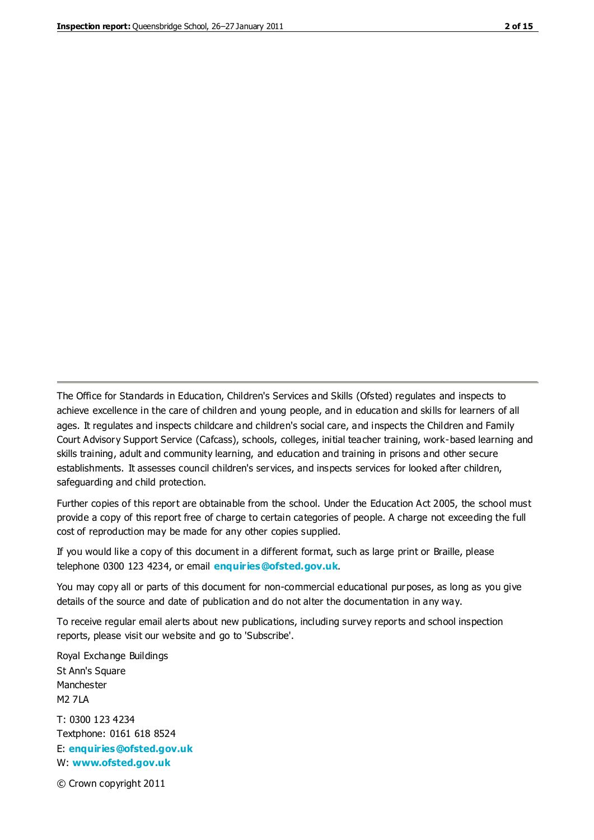The Office for Standards in Education, Children's Services and Skills (Ofsted) regulates and inspects to achieve excellence in the care of children and young people, and in education and skills for learners of all ages. It regulates and inspects childcare and children's social care, and inspects the Children and Family Court Advisory Support Service (Cafcass), schools, colleges, initial teacher training, work-based learning and skills training, adult and community learning, and education and training in prisons and other secure establishments. It assesses council children's services, and inspects services for looked after children, safeguarding and child protection.

Further copies of this report are obtainable from the school. Under the Education Act 2005, the school must provide a copy of this report free of charge to certain categories of people. A charge not exceeding the full cost of reproduction may be made for any other copies supplied.

If you would like a copy of this document in a different format, such as large print or Braille, please telephone 0300 123 4234, or email **[enquiries@ofsted.gov.uk](mailto:enquiries@ofsted.gov.uk)**.

You may copy all or parts of this document for non-commercial educational purposes, as long as you give details of the source and date of publication and do not alter the documentation in any way.

To receive regular email alerts about new publications, including survey reports and school inspection reports, please visit our website and go to 'Subscribe'.

Royal Exchange Buildings St Ann's Square Manchester M2 7LA T: 0300 123 4234 Textphone: 0161 618 8524 E: **[enquiries@ofsted.gov.uk](mailto:enquiries@ofsted.gov.uk)**

W: **[www.ofsted.gov.uk](http://www.ofsted.gov.uk/)**

© Crown copyright 2011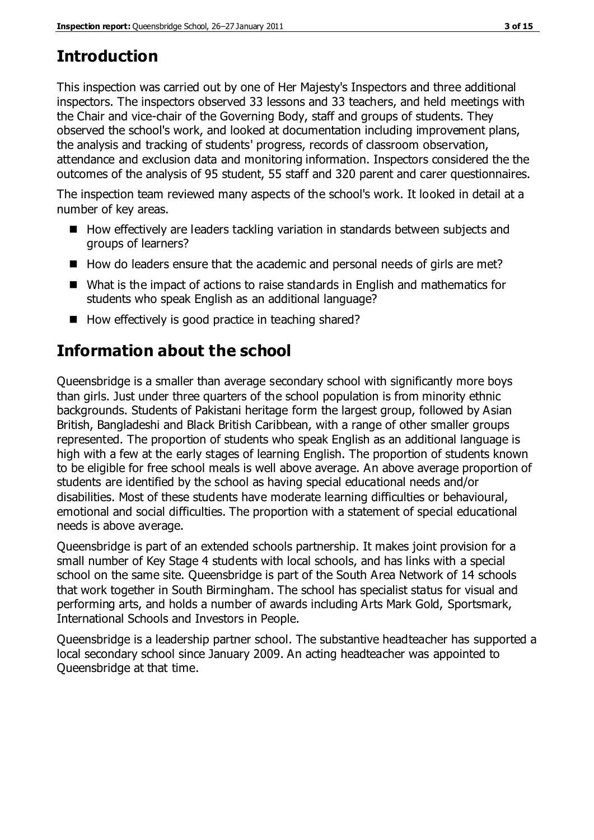# **Introduction**

This inspection was carried out by one of Her Majesty's Inspectors and three additional inspectors. The inspectors observed 33 lessons and 33 teachers, and held meetings with the Chair and vice-chair of the Governing Body, staff and groups of students. They observed the school's work, and looked at documentation including improvement plans, the analysis and tracking of students' progress, records of classroom observation, attendance and exclusion data and monitoring information. Inspectors considered the the outcomes of the analysis of 95 student, 55 staff and 320 parent and carer questionnaires.

The inspection team reviewed many aspects of the school's work. It looked in detail at a number of key areas.

- How effectively are leaders tackling variation in standards between subjects and groups of learners?
- How do leaders ensure that the academic and personal needs of girls are met?
- What is the impact of actions to raise standards in English and mathematics for students who speak English as an additional language?
- $\blacksquare$  How effectively is good practice in teaching shared?

# **Information about the school**

Queensbridge is a smaller than average secondary school with significantly more boys than girls. Just under three quarters of the school population is from minority ethnic backgrounds. Students of Pakistani heritage form the largest group, followed by Asian British, Bangladeshi and Black British Caribbean, with a range of other smaller groups represented. The proportion of students who speak English as an additional language is high with a few at the early stages of learning English. The proportion of students known to be eligible for free school meals is well above average. An above average proportion of students are identified by the school as having special educational needs and/or disabilities. Most of these students have moderate learning difficulties or behavioural, emotional and social difficulties. The proportion with a statement of special educational needs is above average.

Queensbridge is part of an extended schools partnership. It makes joint provision for a small number of Key Stage 4 students with local schools, and has links with a special school on the same site. Queensbridge is part of the South Area Network of 14 schools that work together in South Birmingham. The school has specialist status for visual and performing arts, and holds a number of awards including Arts Mark Gold, Sportsmark, International Schools and Investors in People.

Queensbridge is a leadership partner school. The substantive headteacher has supported a local secondary school since January 2009. An acting headteacher was appointed to Queensbridge at that time.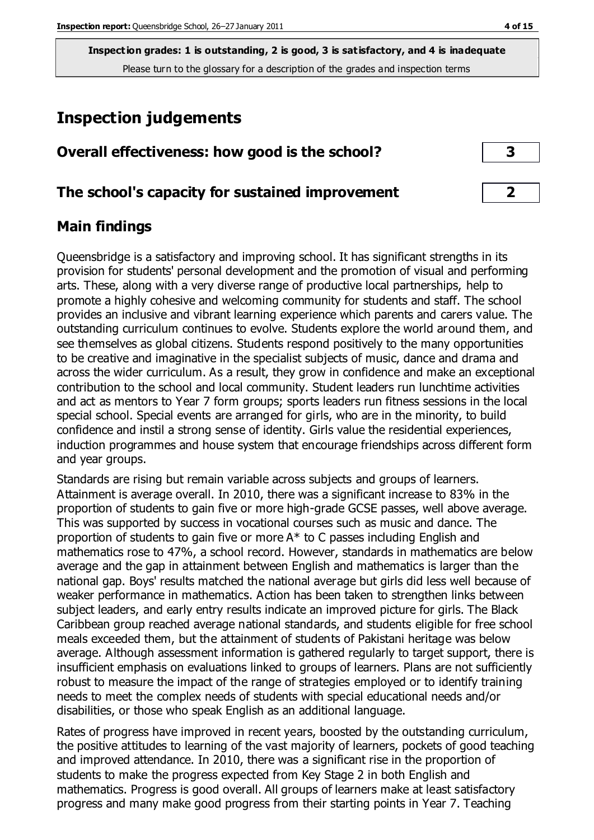# **Inspection judgements**

| Overall effectiveness: how good is the school? |  |
|------------------------------------------------|--|
|------------------------------------------------|--|

## **The school's capacity for sustained improvement 2**

## **Main findings**

Queensbridge is a satisfactory and improving school. It has significant strengths in its provision for students' personal development and the promotion of visual and performing arts. These, along with a very diverse range of productive local partnerships, help to promote a highly cohesive and welcoming community for students and staff. The school provides an inclusive and vibrant learning experience which parents and carers value. The outstanding curriculum continues to evolve. Students explore the world around them, and see themselves as global citizens. Students respond positively to the many opportunities to be creative and imaginative in the specialist subjects of music, dance and drama and across the wider curriculum. As a result, they grow in confidence and make an exceptional contribution to the school and local community. Student leaders run lunchtime activities and act as mentors to Year 7 form groups; sports leaders run fitness sessions in the local special school. Special events are arranged for girls, who are in the minority, to build confidence and instil a strong sense of identity. Girls value the residential experiences, induction programmes and house system that encourage friendships across different form and year groups.

Standards are rising but remain variable across subjects and groups of learners. Attainment is average overall. In 2010, there was a significant increase to 83% in the proportion of students to gain five or more high-grade GCSE passes, well above average. This was supported by success in vocational courses such as music and dance. The proportion of students to gain five or more A\* to C passes including English and mathematics rose to 47%, a school record. However, standards in mathematics are below average and the gap in attainment between English and mathematics is larger than the national gap. Boys' results matched the national average but girls did less well because of weaker performance in mathematics. Action has been taken to strengthen links between subject leaders, and early entry results indicate an improved picture for girls. The Black Caribbean group reached average national standards, and students eligible for free school meals exceeded them, but the attainment of students of Pakistani heritage was below average. Although assessment information is gathered regularly to target support, there is insufficient emphasis on evaluations linked to groups of learners. Plans are not sufficiently robust to measure the impact of the range of strategies employed or to identify training needs to meet the complex needs of students with special educational needs and/or disabilities, or those who speak English as an additional language.

Rates of progress have improved in recent years, boosted by the outstanding curriculum, the positive attitudes to learning of the vast majority of learners, pockets of good teaching and improved attendance. In 2010, there was a significant rise in the proportion of students to make the progress expected from Key Stage 2 in both English and mathematics. Progress is good overall. All groups of learners make at least satisfactory progress and many make good progress from their starting points in Year 7. Teaching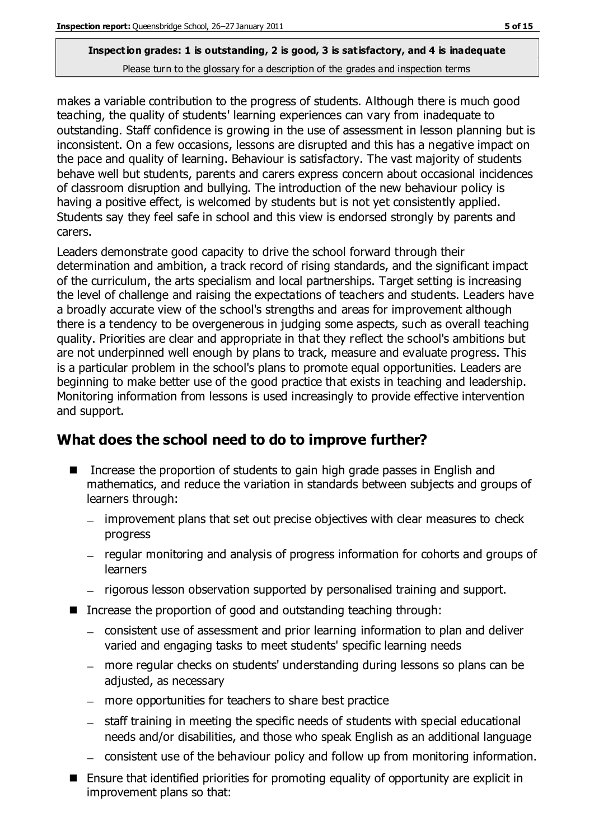makes a variable contribution to the progress of students. Although there is much good teaching, the quality of students' learning experiences can vary from inadequate to outstanding. Staff confidence is growing in the use of assessment in lesson planning but is inconsistent. On a few occasions, lessons are disrupted and this has a negative impact on the pace and quality of learning. Behaviour is satisfactory. The vast majority of students behave well but students, parents and carers express concern about occasional incidences of classroom disruption and bullying. The introduction of the new behaviour policy is having a positive effect, is welcomed by students but is not yet consistently applied. Students say they feel safe in school and this view is endorsed strongly by parents and carers.

Leaders demonstrate good capacity to drive the school forward through their determination and ambition, a track record of rising standards, and the significant impact of the curriculum, the arts specialism and local partnerships. Target setting is increasing the level of challenge and raising the expectations of teachers and students. Leaders have a broadly accurate view of the school's strengths and areas for improvement although there is a tendency to be overgenerous in judging some aspects, such as overall teaching quality. Priorities are clear and appropriate in that they reflect the school's ambitions but are not underpinned well enough by plans to track, measure and evaluate progress. This is a particular problem in the school's plans to promote equal opportunities. Leaders are beginning to make better use of the good practice that exists in teaching and leadership. Monitoring information from lessons is used increasingly to provide effective intervention and support.

## **What does the school need to do to improve further?**

- Increase the proportion of students to gain high grade passes in English and mathematics, and reduce the variation in standards between subjects and groups of learners through:
	- improvement plans that set out precise objectives with clear measures to check progress
	- regular monitoring and analysis of progress information for cohorts and groups of learners
	- rigorous lesson observation supported by personalised training and support.
- Increase the proportion of good and outstanding teaching through:
	- consistent use of assessment and prior learning information to plan and deliver varied and engaging tasks to meet students' specific learning needs
	- more regular checks on students' understanding during lessons so plans can be adjusted, as necessary
	- more opportunities for teachers to share best practice
	- staff training in meeting the specific needs of students with special educational needs and/or disabilities, and those who speak English as an additional language
	- consistent use of the behaviour policy and follow up from monitoring information.
- Ensure that identified priorities for promoting equality of opportunity are explicit in improvement plans so that: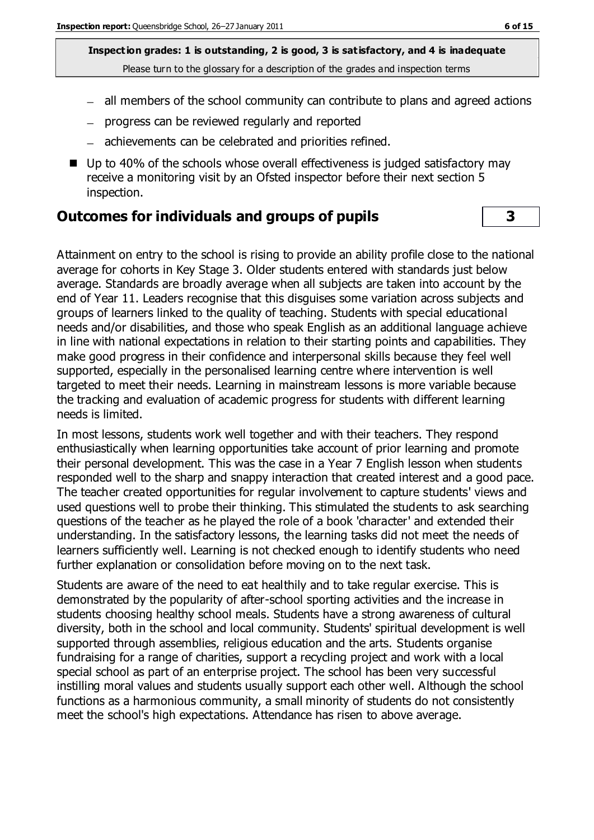- all members of the school community can contribute to plans and agreed actions
- progress can be reviewed regularly and reported
- achievements can be celebrated and priorities refined.
- Up to 40% of the schools whose overall effectiveness is judged satisfactory may receive a monitoring visit by an Ofsted inspector before their next section 5 inspection.

#### **Outcomes for individuals and groups of pupils 3**

Attainment on entry to the school is rising to provide an ability profile close to the national average for cohorts in Key Stage 3. Older students entered with standards just below average. Standards are broadly average when all subjects are taken into account by the end of Year 11. Leaders recognise that this disguises some variation across subjects and groups of learners linked to the quality of teaching. Students with special educational needs and/or disabilities, and those who speak English as an additional language achieve in line with national expectations in relation to their starting points and capabilities. They make good progress in their confidence and interpersonal skills because they feel well supported, especially in the personalised learning centre where intervention is well targeted to meet their needs. Learning in mainstream lessons is more variable because the tracking and evaluation of academic progress for students with different learning needs is limited.

In most lessons, students work well together and with their teachers. They respond enthusiastically when learning opportunities take account of prior learning and promote their personal development. This was the case in a Year 7 English lesson when students responded well to the sharp and snappy interaction that created interest and a good pace. The teacher created opportunities for regular involvement to capture students' views and used questions well to probe their thinking. This stimulated the students to ask searching questions of the teacher as he played the role of a book 'character' and extended their understanding. In the satisfactory lessons, the learning tasks did not meet the needs of learners sufficiently well. Learning is not checked enough to identify students who need further explanation or consolidation before moving on to the next task.

Students are aware of the need to eat healthily and to take regular exercise. This is demonstrated by the popularity of after-school sporting activities and the increase in students choosing healthy school meals. Students have a strong awareness of cultural diversity, both in the school and local community. Students' spiritual development is well supported through assemblies, religious education and the arts. Students organise fundraising for a range of charities, support a recycling project and work with a local special school as part of an enterprise project. The school has been very successful instilling moral values and students usually support each other well. Although the school functions as a harmonious community, a small minority of students do not consistently meet the school's high expectations. Attendance has risen to above average.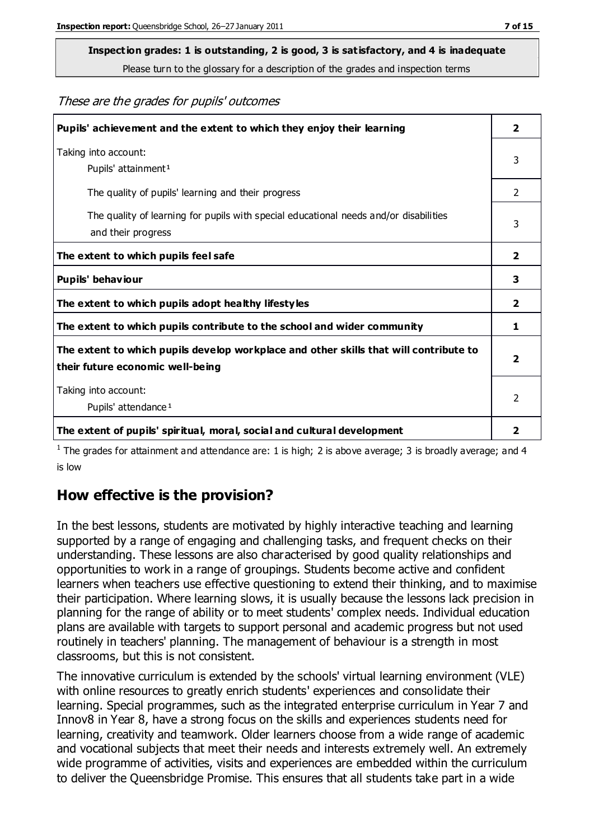# **Inspection grades: 1 is outstanding, 2 is good, 3 is satisfactory, and 4 is inadequate**

Please turn to the glossary for a description of the grades and inspection terms

#### These are the grades for pupils' outcomes

| Pupils' achievement and the extent to which they enjoy their learning                                                     | $\overline{2}$          |
|---------------------------------------------------------------------------------------------------------------------------|-------------------------|
| Taking into account:<br>Pupils' attainment <sup>1</sup>                                                                   | 3                       |
| The quality of pupils' learning and their progress                                                                        | 2                       |
| The quality of learning for pupils with special educational needs and/or disabilities<br>and their progress               | 3                       |
| The extent to which pupils feel safe                                                                                      | $\overline{\mathbf{2}}$ |
| Pupils' behaviour                                                                                                         | 3                       |
| The extent to which pupils adopt healthy lifestyles                                                                       | $\overline{2}$          |
| The extent to which pupils contribute to the school and wider community                                                   | 1                       |
| The extent to which pupils develop workplace and other skills that will contribute to<br>their future economic well-being |                         |
| Taking into account:<br>Pupils' attendance <sup>1</sup>                                                                   | $\mathfrak{p}$          |
| The extent of pupils' spiritual, moral, social and cultural development                                                   | $\overline{\mathbf{2}}$ |

<sup>1</sup> The grades for attainment and attendance are: 1 is high; 2 is above average; 3 is broadly average; and 4 is low

#### **How effective is the provision?**

In the best lessons, students are motivated by highly interactive teaching and learning supported by a range of engaging and challenging tasks, and frequent checks on their understanding. These lessons are also characterised by good quality relationships and opportunities to work in a range of groupings. Students become active and confident learners when teachers use effective questioning to extend their thinking, and to maximise their participation. Where learning slows, it is usually because the lessons lack precision in planning for the range of ability or to meet students' complex needs. Individual education plans are available with targets to support personal and academic progress but not used routinely in teachers' planning. The management of behaviour is a strength in most classrooms, but this is not consistent.

The innovative curriculum is extended by the schools' virtual learning environment (VLE) with online resources to greatly enrich students' experiences and consolidate their learning. Special programmes, such as the integrated enterprise curriculum in Year 7 and Innov8 in Year 8, have a strong focus on the skills and experiences students need for learning, creativity and teamwork. Older learners choose from a wide range of academic and vocational subjects that meet their needs and interests extremely well. An extremely wide programme of activities, visits and experiences are embedded within the curriculum to deliver the Queensbridge Promise. This ensures that all students take part in a wide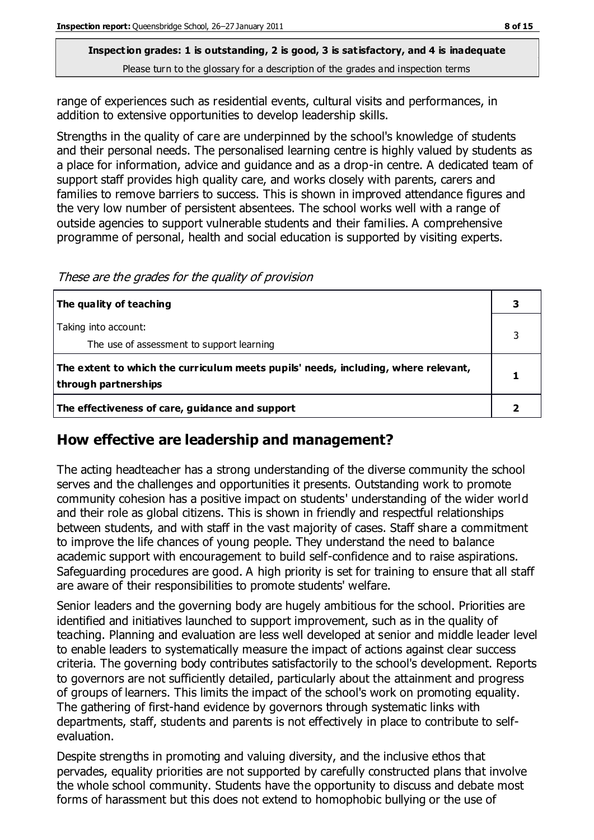range of experiences such as residential events, cultural visits and performances, in addition to extensive opportunities to develop leadership skills.

Strengths in the quality of care are underpinned by the school's knowledge of students and their personal needs. The personalised learning centre is highly valued by students as a place for information, advice and guidance and as a drop-in centre. A dedicated team of support staff provides high quality care, and works closely with parents, carers and families to remove barriers to success. This is shown in improved attendance figures and the very low number of persistent absentees. The school works well with a range of outside agencies to support vulnerable students and their families. A comprehensive programme of personal, health and social education is supported by visiting experts.

These are the grades for the quality of provision

| The quality of teaching                                                                                    |  |
|------------------------------------------------------------------------------------------------------------|--|
| Taking into account:<br>The use of assessment to support learning                                          |  |
| The extent to which the curriculum meets pupils' needs, including, where relevant,<br>through partnerships |  |
| The effectiveness of care, guidance and support                                                            |  |

## **How effective are leadership and management?**

The acting headteacher has a strong understanding of the diverse community the school serves and the challenges and opportunities it presents. Outstanding work to promote community cohesion has a positive impact on students' understanding of the wider world and their role as global citizens. This is shown in friendly and respectful relationships between students, and with staff in the vast majority of cases. Staff share a commitment to improve the life chances of young people. They understand the need to balance academic support with encouragement to build self-confidence and to raise aspirations. Safeguarding procedures are good. A high priority is set for training to ensure that all staff are aware of their responsibilities to promote students' welfare.

Senior leaders and the governing body are hugely ambitious for the school. Priorities are identified and initiatives launched to support improvement, such as in the quality of teaching. Planning and evaluation are less well developed at senior and middle leader level to enable leaders to systematically measure the impact of actions against clear success criteria. The governing body contributes satisfactorily to the school's development. Reports to governors are not sufficiently detailed, particularly about the attainment and progress of groups of learners. This limits the impact of the school's work on promoting equality. The gathering of first-hand evidence by governors through systematic links with departments, staff, students and parents is not effectively in place to contribute to selfevaluation.

Despite strengths in promoting and valuing diversity, and the inclusive ethos that pervades, equality priorities are not supported by carefully constructed plans that involve the whole school community. Students have the opportunity to discuss and debate most forms of harassment but this does not extend to homophobic bullying or the use of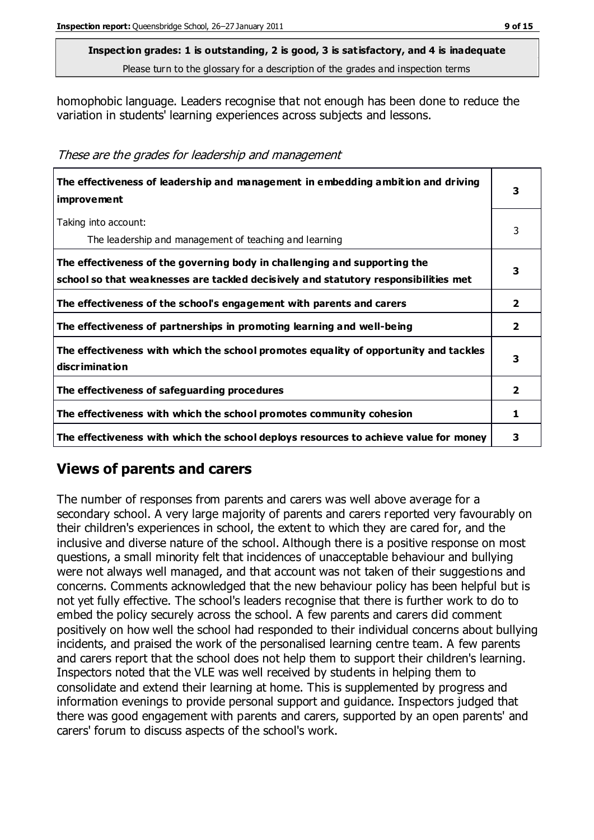homophobic language. Leaders recognise that not enough has been done to reduce the variation in students' learning experiences across subjects and lessons.

These are the grades for leadership and management

| The effectiveness of leadership and management in embedding ambition and driving<br>improvement                                                                  |                |
|------------------------------------------------------------------------------------------------------------------------------------------------------------------|----------------|
| Taking into account:<br>The leadership and management of teaching and learning                                                                                   | 3              |
| The effectiveness of the governing body in challenging and supporting the<br>school so that weaknesses are tackled decisively and statutory responsibilities met | 3              |
| The effectiveness of the school's engagement with parents and carers                                                                                             | $\overline{2}$ |
| The effectiveness of partnerships in promoting learning and well-being                                                                                           | $\overline{2}$ |
| The effectiveness with which the school promotes equality of opportunity and tackles<br>discrimination                                                           | 3              |
| The effectiveness of safeguarding procedures                                                                                                                     | 2              |
| The effectiveness with which the school promotes community cohesion                                                                                              | 1              |
| The effectiveness with which the school deploys resources to achieve value for money                                                                             |                |

## **Views of parents and carers**

The number of responses from parents and carers was well above average for a secondary school. A very large majority of parents and carers reported very favourably on their children's experiences in school, the extent to which they are cared for, and the inclusive and diverse nature of the school. Although there is a positive response on most questions, a small minority felt that incidences of unacceptable behaviour and bullying were not always well managed, and that account was not taken of their suggestions and concerns. Comments acknowledged that the new behaviour policy has been helpful but is not yet fully effective. The school's leaders recognise that there is further work to do to embed the policy securely across the school. A few parents and carers did comment positively on how well the school had responded to their individual concerns about bullying incidents, and praised the work of the personalised learning centre team. A few parents and carers report that the school does not help them to support their children's learning. Inspectors noted that the VLE was well received by students in helping them to consolidate and extend their learning at home. This is supplemented by progress and information evenings to provide personal support and guidance. Inspectors judged that there was good engagement with parents and carers, supported by an open parents' and carers' forum to discuss aspects of the school's work.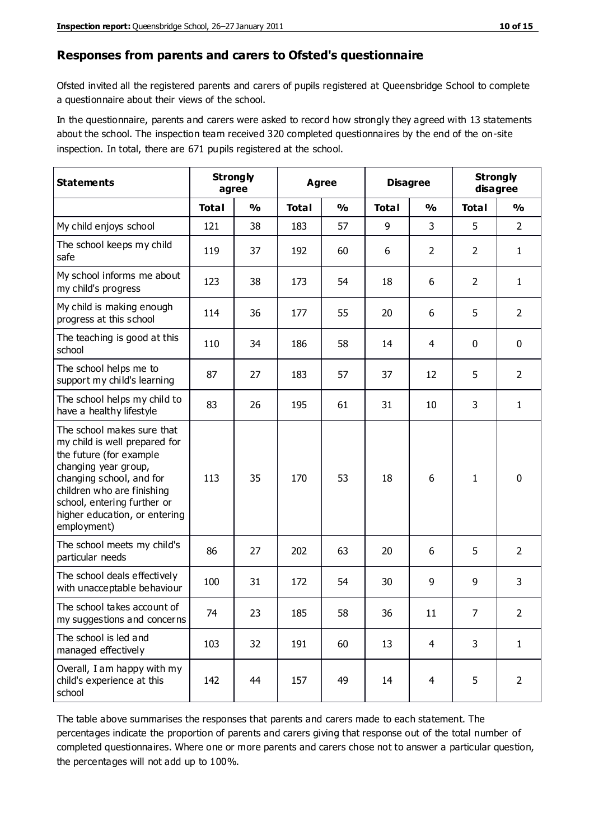#### **Responses from parents and carers to Ofsted's questionnaire**

Ofsted invited all the registered parents and carers of pupils registered at Queensbridge School to complete a questionnaire about their views of the school.

In the questionnaire, parents and carers were asked to record how strongly they agreed with 13 statements about the school. The inspection team received 320 completed questionnaires by the end of the on-site inspection. In total, there are 671 pupils registered at the school.

| <b>Statements</b>                                                                                                                                                                                                                                       | <b>Strongly</b><br>agree |               | <b>Agree</b> |               | <b>Disagree</b> |                | <b>Strongly</b><br>disagree |                |
|---------------------------------------------------------------------------------------------------------------------------------------------------------------------------------------------------------------------------------------------------------|--------------------------|---------------|--------------|---------------|-----------------|----------------|-----------------------------|----------------|
|                                                                                                                                                                                                                                                         | <b>Total</b>             | $\frac{0}{0}$ | <b>Total</b> | $\frac{0}{0}$ | <b>Total</b>    | $\frac{0}{0}$  | <b>Total</b>                | $\frac{9}{6}$  |
| My child enjoys school                                                                                                                                                                                                                                  | 121                      | 38            | 183          | 57            | 9               | 3              | 5                           | $\overline{2}$ |
| The school keeps my child<br>safe                                                                                                                                                                                                                       | 119                      | 37            | 192          | 60            | 6               | $\overline{2}$ | $\overline{2}$              | $\mathbf{1}$   |
| My school informs me about<br>my child's progress                                                                                                                                                                                                       | 123                      | 38            | 173          | 54            | 18              | 6              | $\overline{2}$              | $\mathbf{1}$   |
| My child is making enough<br>progress at this school                                                                                                                                                                                                    | 114                      | 36            | 177          | 55            | 20              | 6              | 5                           | $\overline{2}$ |
| The teaching is good at this<br>school                                                                                                                                                                                                                  | 110                      | 34            | 186          | 58            | 14              | $\overline{4}$ | $\mathbf 0$                 | $\mathbf 0$    |
| The school helps me to<br>support my child's learning                                                                                                                                                                                                   | 87                       | 27            | 183          | 57            | 37              | 12             | 5                           | $\overline{2}$ |
| The school helps my child to<br>have a healthy lifestyle                                                                                                                                                                                                | 83                       | 26            | 195          | 61            | 31              | 10             | 3                           | $\mathbf{1}$   |
| The school makes sure that<br>my child is well prepared for<br>the future (for example<br>changing year group,<br>changing school, and for<br>children who are finishing<br>school, entering further or<br>higher education, or entering<br>employment) | 113                      | 35            | 170          | 53            | 18              | 6              | $\mathbf{1}$                | $\mathbf 0$    |
| The school meets my child's<br>particular needs                                                                                                                                                                                                         | 86                       | 27            | 202          | 63            | 20              | 6              | 5                           | $\overline{2}$ |
| The school deals effectively<br>with unacceptable behaviour                                                                                                                                                                                             | 100                      | 31            | 172          | 54            | 30              | 9              | 9                           | 3              |
| The school takes account of<br>my suggestions and concerns                                                                                                                                                                                              | 74                       | 23            | 185          | 58            | 36              | 11             | $\overline{7}$              | 2              |
| The school is led and<br>managed effectively                                                                                                                                                                                                            | 103                      | 32            | 191          | 60            | 13              | $\overline{4}$ | 3                           | $\mathbf{1}$   |
| Overall, I am happy with my<br>child's experience at this<br>school                                                                                                                                                                                     | 142                      | 44            | 157          | 49            | 14              | $\overline{4}$ | 5                           | $\overline{2}$ |

The table above summarises the responses that parents and carers made to each statement. The percentages indicate the proportion of parents and carers giving that response out of the total number of completed questionnaires. Where one or more parents and carers chose not to answer a particular question, the percentages will not add up to 100%.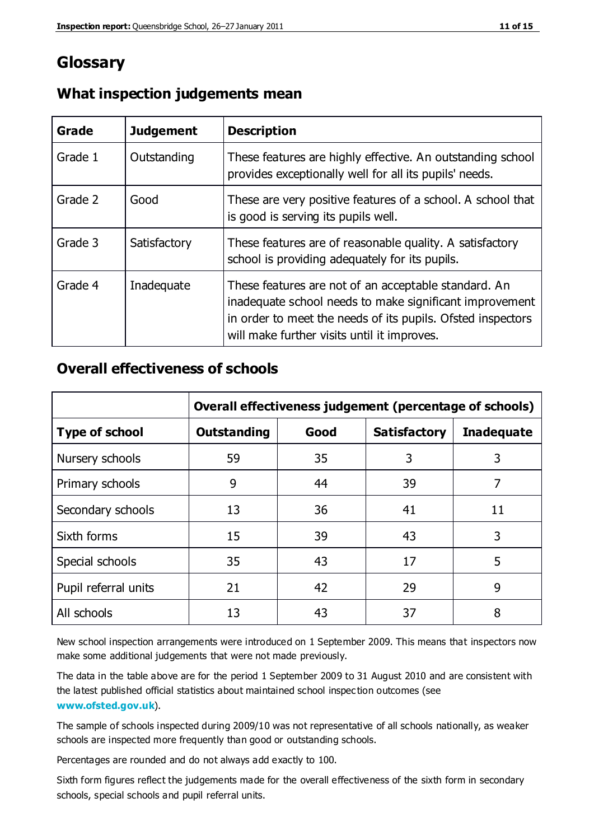## **Glossary**

| Grade   | <b>Judgement</b> | <b>Description</b>                                                                                                                                                                                                            |
|---------|------------------|-------------------------------------------------------------------------------------------------------------------------------------------------------------------------------------------------------------------------------|
| Grade 1 | Outstanding      | These features are highly effective. An outstanding school<br>provides exceptionally well for all its pupils' needs.                                                                                                          |
| Grade 2 | Good             | These are very positive features of a school. A school that<br>is good is serving its pupils well.                                                                                                                            |
| Grade 3 | Satisfactory     | These features are of reasonable quality. A satisfactory<br>school is providing adequately for its pupils.                                                                                                                    |
| Grade 4 | Inadequate       | These features are not of an acceptable standard. An<br>inadequate school needs to make significant improvement<br>in order to meet the needs of its pupils. Ofsted inspectors<br>will make further visits until it improves. |

#### **What inspection judgements mean**

## **Overall effectiveness of schools**

|                       | Overall effectiveness judgement (percentage of schools) |      |                     |                   |
|-----------------------|---------------------------------------------------------|------|---------------------|-------------------|
| <b>Type of school</b> | <b>Outstanding</b>                                      | Good | <b>Satisfactory</b> | <b>Inadequate</b> |
| Nursery schools       | 59                                                      | 35   | 3                   | 3                 |
| Primary schools       | 9                                                       | 44   | 39                  | 7                 |
| Secondary schools     | 13                                                      | 36   | 41                  | 11                |
| Sixth forms           | 15                                                      | 39   | 43                  | 3                 |
| Special schools       | 35                                                      | 43   | 17                  | 5                 |
| Pupil referral units  | 21                                                      | 42   | 29                  | 9                 |
| All schools           | 13                                                      | 43   | 37                  | 8                 |

New school inspection arrangements were introduced on 1 September 2009. This means that inspectors now make some additional judgements that were not made previously.

The data in the table above are for the period 1 September 2009 to 31 August 2010 and are consistent with the latest published official statistics about maintained school inspec tion outcomes (see **[www.ofsted.gov.uk](http://www.ofsted.gov.uk/)**).

The sample of schools inspected during 2009/10 was not representative of all schools nationally, as weaker schools are inspected more frequently than good or outstanding schools.

Percentages are rounded and do not always add exactly to 100.

Sixth form figures reflect the judgements made for the overall effectiveness of the sixth form in secondary schools, special schools and pupil referral units.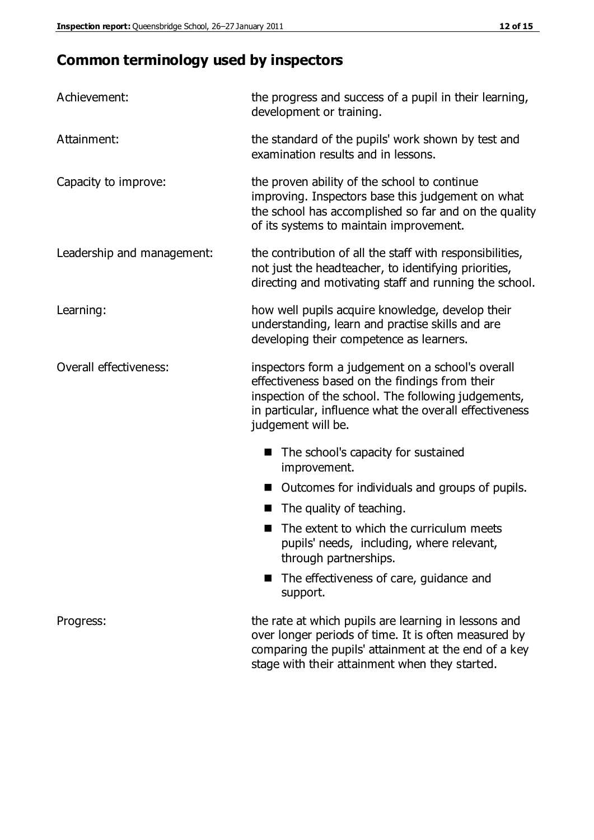# **Common terminology used by inspectors**

| Achievement:               | the progress and success of a pupil in their learning,<br>development or training.                                                                                                                                                          |  |  |
|----------------------------|---------------------------------------------------------------------------------------------------------------------------------------------------------------------------------------------------------------------------------------------|--|--|
| Attainment:                | the standard of the pupils' work shown by test and<br>examination results and in lessons.                                                                                                                                                   |  |  |
| Capacity to improve:       | the proven ability of the school to continue<br>improving. Inspectors base this judgement on what<br>the school has accomplished so far and on the quality<br>of its systems to maintain improvement.                                       |  |  |
| Leadership and management: | the contribution of all the staff with responsibilities,<br>not just the headteacher, to identifying priorities,<br>directing and motivating staff and running the school.                                                                  |  |  |
| Learning:                  | how well pupils acquire knowledge, develop their<br>understanding, learn and practise skills and are<br>developing their competence as learners.                                                                                            |  |  |
| Overall effectiveness:     | inspectors form a judgement on a school's overall<br>effectiveness based on the findings from their<br>inspection of the school. The following judgements,<br>in particular, influence what the overall effectiveness<br>judgement will be. |  |  |
|                            | The school's capacity for sustained<br>improvement.                                                                                                                                                                                         |  |  |
|                            | Outcomes for individuals and groups of pupils.                                                                                                                                                                                              |  |  |
|                            | The quality of teaching.                                                                                                                                                                                                                    |  |  |
|                            | The extent to which the curriculum meets<br>pupils' needs, including, where relevant,<br>through partnerships.                                                                                                                              |  |  |
|                            | The effectiveness of care, guidance and<br>support.                                                                                                                                                                                         |  |  |
| Progress:                  | the rate at which pupils are learning in lessons and<br>over longer periods of time. It is often measured by<br>comparing the pupils' attainment at the end of a key                                                                        |  |  |

stage with their attainment when they started.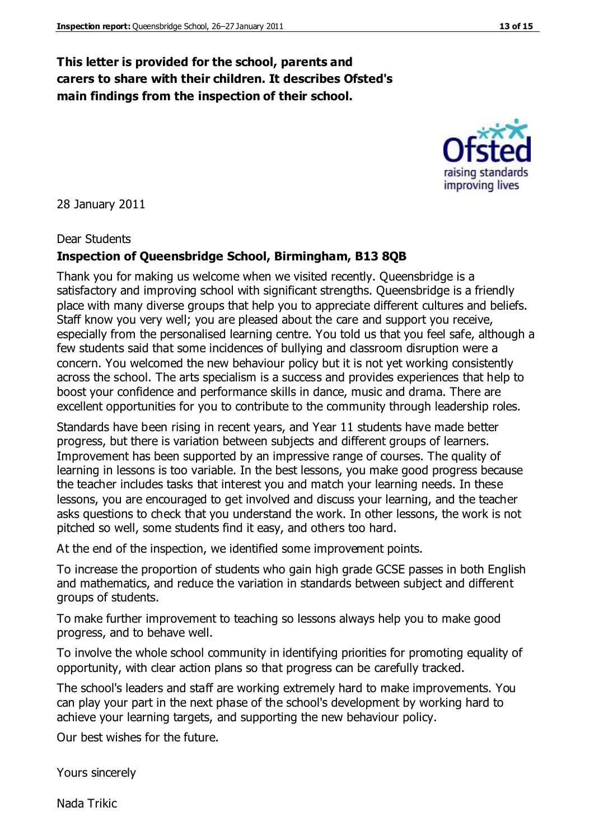## **This letter is provided for the school, parents and carers to share with their children. It describes Ofsted's main findings from the inspection of their school.**

#### 28 January 2011

#### Dear Students

#### **Inspection of Queensbridge School, Birmingham, B13 8QB**

Thank you for making us welcome when we visited recently. Queensbridge is a satisfactory and improving school with significant strengths. Queensbridge is a friendly place with many diverse groups that help you to appreciate different cultures and beliefs. Staff know you very well; you are pleased about the care and support you receive, especially from the personalised learning centre. You told us that you feel safe, although a few students said that some incidences of bullying and classroom disruption were a concern. You welcomed the new behaviour policy but it is not yet working consistently across the school. The arts specialism is a success and provides experiences that help to boost your confidence and performance skills in dance, music and drama. There are excellent opportunities for you to contribute to the community through leadership roles.

Standards have been rising in recent years, and Year 11 students have made better progress, but there is variation between subjects and different groups of learners. Improvement has been supported by an impressive range of courses. The quality of learning in lessons is too variable. In the best lessons, you make good progress because the teacher includes tasks that interest you and match your learning needs. In these lessons, you are encouraged to get involved and discuss your learning, and the teacher asks questions to check that you understand the work. In other lessons, the work is not pitched so well, some students find it easy, and others too hard.

At the end of the inspection, we identified some improvement points.

To increase the proportion of students who gain high grade GCSE passes in both English and mathematics, and reduce the variation in standards between subject and different groups of students.

To make further improvement to teaching so lessons always help you to make good progress, and to behave well.

To involve the whole school community in identifying priorities for promoting equality of opportunity, with clear action plans so that progress can be carefully tracked.

The school's leaders and staff are working extremely hard to make improvements. You can play your part in the next phase of the school's development by working hard to achieve your learning targets, and supporting the new behaviour policy.

Our best wishes for the future.

Yours sincerely

Nada Trikic

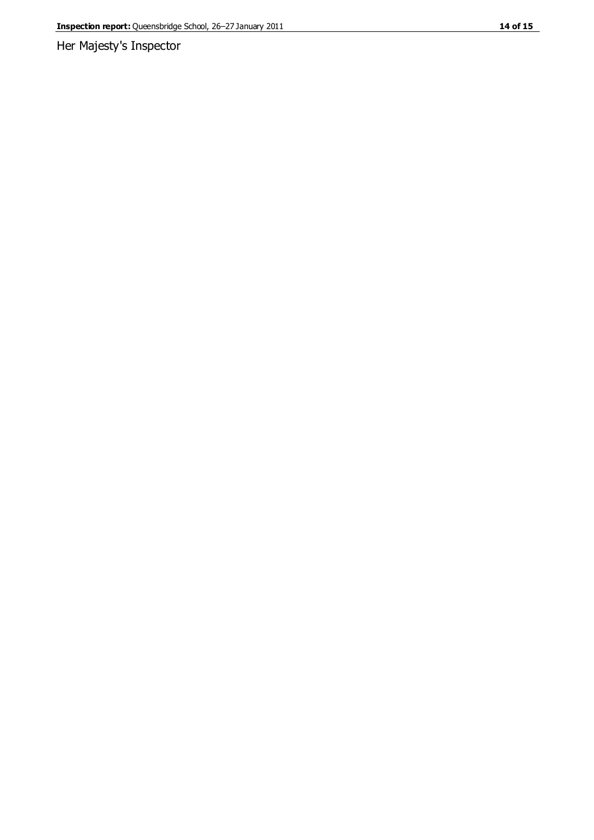Her Majesty's Inspector